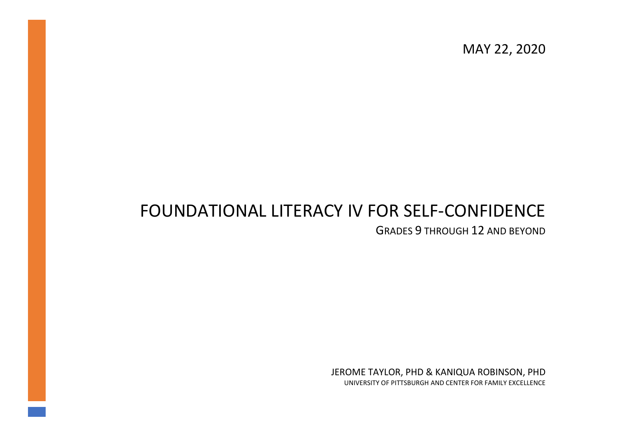MAY 22, 2020

# FOUNDATIONAL LITERACY IV FOR SELF-CONFIDENCE

GRADES 9 THROUGH 12 AND BEYOND

JEROME TAYLOR, PHD & KANIQUA ROBINSON, PHD UNIVERSITY OF PITTSBURGH AND CENTER FOR FAMILY EXCELLENCE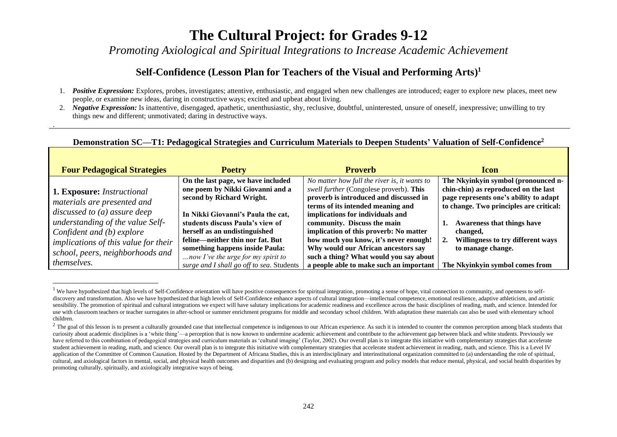*Promoting Axiological and Spiritual Integrations to Increase Academic Achievement*

#### **Self-Confidence (Lesson Plan for Teachers of the Visual and Performing Arts) 1**

- 1. *Positive Expression:* Explores, probes, investigates; attentive, enthusiastic, and engaged when new challenges are introduced; eager to explore new places, meet new people, or examine new ideas, daring in constructive ways; excited and upbeat about living.
- 2. *Negative Expression:* Is inattentive, disengaged, apathetic, unenthusiastic, shy, reclusive, doubtful, uninterested, unsure of oneself, inexpressive; unwilling to try things new and different; unmotivated; daring in destructive ways.

.

#### **Demonstration SC—T1: Pedagogical Strategies and Curriculum Materials to Deepen Students' Valuation of Self-Confidence<sup>2</sup>**

| <b>Four Pedagogical Strategies</b>          | <b>Poetry</b>                             | <b>Proverb</b>                               | <b>lcon</b>                             |
|---------------------------------------------|-------------------------------------------|----------------------------------------------|-----------------------------------------|
|                                             | On the last page, we have included        | No matter how full the river is, it wants to | The Nkyinkyin symbol (pronounced n-     |
| <b>1. Exposure:</b> Instructional           | one poem by Nikki Giovanni and a          | swell further (Congolese proverb). This      | chin-chin) as reproduced on the last    |
| materials are presented and                 | second by Richard Wright.                 | proverb is introduced and discussed in       | page represents one's ability to adapt  |
|                                             |                                           | terms of its intended meaning and            | to change. Two principles are critical: |
| discussed to $(a)$ assure deep              | In Nikki Giovanni's Paula the cat,        | implications for individuals and             |                                         |
| understanding of the value Self-            | students discuss Paula's view of          | community. Discuss the main                  | <b>Awareness that things have</b>       |
| Confident and (b) explore                   | herself as an undistinguished             | implication of this proverb: No matter       | changed,                                |
| <i>implications of this value for their</i> | feline—neither thin nor fat. But          | how much you know, it's never enough!        | Willingness to try different ways       |
| school, peers, neighborhoods and            | something happens inside Paula:           | Why would our African ancestors say          | to manage change.                       |
|                                             | now I've the urge for my spirit to        | such a thing? What would you say about       |                                         |
| <i>themselves.</i>                          | surge and I shall go off to sea. Students | a people able to make such an important      | The Nkyinkyin symbol comes from         |

<sup>&</sup>lt;sup>1</sup> We have hypothesized that high levels of Self-Confidence orientation will have positive consequences for spiritual integration, promoting a sense of hope, vital connection to community, and openness to selfdiscovery and transformation. Also we have hypothesized that high levels of Self-Confidence enhance aspects of cultural integration—intellectual competence, emotional resilience, adaptive athleticism, and artistic sensibility. The promotion of spiritual and cultural integrations we expect will have salutary implications for academic readiness and excellence across the basic disciplines of reading, math, and science. Intended for use with classroom teachers or teacher surrogates in after-school or summer enrichment programs for middle and secondary school children. With adaptation these materials can also be used with elementary school children.

 $2$  The goal of this lesson is to present a culturally grounded case that intellectual competence is indigenous to our African experience. As such it is intended to counter the common perception among black students that curiosity about academic disciplines is a 'white thing'—a perception that is now known to undermine academic achievement and contribute to the achievement gap between black and white students. Previously we have referred to this combination of pedagogical strategies and curriculum materials as 'cultural imaging' (Taylor, 2002). Our overall plan is to integrate this initiative with complementary strategies that accelerate student achievement in reading, math, and science. Our overall plan is to integrate this initiative with complementary strategies that accelerate student achievement in reading, math, and science. This is a Level IV application of the Committee of Common Causation. Hosted by the Department of Africana Studies, this is an interdisciplinary and interinstitutional organization committed to (a) understanding the role of spiritual, cultural, and axiological factors in mental, social, and physical health outcomes and disparities and (b) designing and evaluating program and policy models that reduce mental, physical, and social health disparities by promoting culturally, spiritually, and axiologically integrative ways of being.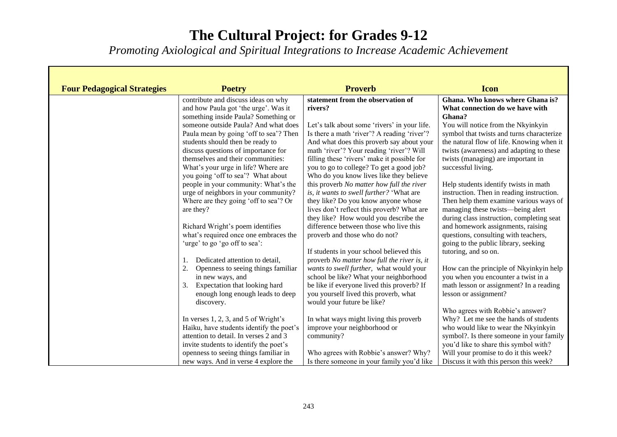*Promoting Axiological and Spiritual Integrations to Increase Academic Achievement*

| <b>Four Pedagogical Strategies</b> | <b>Poetry</b>                             | <b>Proverb</b>                               | <b>Icon</b>                                                  |
|------------------------------------|-------------------------------------------|----------------------------------------------|--------------------------------------------------------------|
|                                    | contribute and discuss ideas on why       | statement from the observation of            | Ghana. Who knows where Ghana is?                             |
|                                    | and how Paula got 'the urge'. Was it      | rivers?                                      | What connection do we have with                              |
|                                    | something inside Paula? Something or      |                                              | Ghana?                                                       |
|                                    | someone outside Paula? And what does      | Let's talk about some 'rivers' in your life. | You will notice from the Nkyinkyin                           |
|                                    | Paula mean by going 'off to sea'? Then    | Is there a math 'river'? A reading 'river'?  | symbol that twists and turns characterize                    |
|                                    | students should then be ready to          | And what does this proverb say about your    | the natural flow of life. Knowing when it                    |
|                                    | discuss questions of importance for       | math 'river'? Your reading 'river'? Will     | twists (awareness) and adapting to these                     |
|                                    | themselves and their communities:         | filling these 'rivers' make it possible for  | twists (managing) are important in                           |
|                                    | What's your urge in life? Where are       | you to go to college? To get a good job?     | successful living.                                           |
|                                    | you going 'off to sea'? What about        | Who do you know lives like they believe      |                                                              |
|                                    | people in your community: What's the      | this proverb No matter how full the river    | Help students identify twists in math                        |
|                                    | urge of neighbors in your community?      | is, it wants to swell further? 'What are     | instruction. Then in reading instruction.                    |
|                                    | Where are they going 'off to sea'? Or     | they like? Do you know anyone whose          | Then help them examine various ways of                       |
|                                    | are they?                                 | lives don't reflect this proverb? What are   | managing these twists—being alert                            |
|                                    |                                           | they like? How would you describe the        | during class instruction, completing seat                    |
|                                    | Richard Wright's poem identifies          | difference between those who live this       | and homework assignments, raising                            |
|                                    | what's required once one embraces the     | proverb and those who do not?                | questions, consulting with teachers,                         |
|                                    | 'urge' to go 'go off to sea':             | If students in your school believed this     | going to the public library, seeking<br>tutoring, and so on. |
|                                    | Dedicated attention to detail,            | proverb No matter how full the river is, it  |                                                              |
|                                    | 2.<br>Openness to seeing things familiar  | wants to swell further, what would your      | How can the principle of Nkyinkyin help                      |
|                                    | in new ways, and                          | school be like? What your neighborhood       | you when you encounter a twist in a                          |
|                                    | Expectation that looking hard<br>3.       | be like if everyone lived this proverb? If   | math lesson or assignment? In a reading                      |
|                                    | enough long enough leads to deep          | you yourself lived this proverb, what        | lesson or assignment?                                        |
|                                    | discovery.                                | would your future be like?                   |                                                              |
|                                    |                                           |                                              | Who agrees with Robbie's answer?                             |
|                                    | In verses $1, 2, 3$ , and $5$ of Wright's | In what ways might living this proverb       | Why? Let me see the hands of students                        |
|                                    | Haiku, have students identify the poet's  | improve your neighborhood or                 | who would like to wear the Nkyinkyin                         |
|                                    | attention to detail. In verses 2 and 3    | community?                                   | symbol?. Is there someone in your family                     |
|                                    | invite students to identify the poet's    |                                              | you'd like to share this symbol with?                        |
|                                    | openness to seeing things familiar in     | Who agrees with Robbie's answer? Why?        | Will your promise to do it this week?                        |
|                                    | new ways. And in verse 4 explore the      | Is there someone in your family you'd like   | Discuss it with this person this week?                       |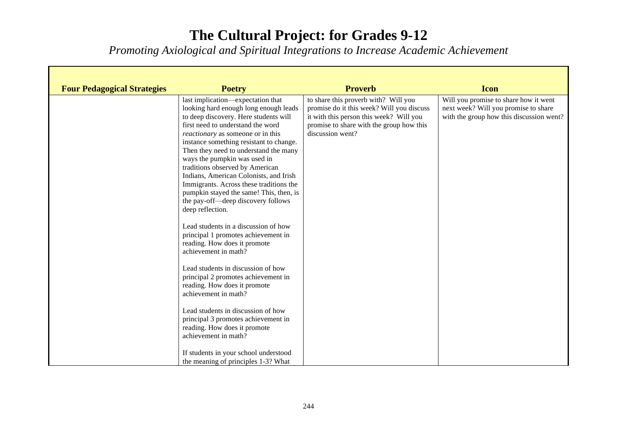*Promoting Axiological and Spiritual Integrations to Increase Academic Achievement*

| <b>Four Pedagogical Strategies</b> | <b>Poetry</b>                                                                                                                                                                                                                                                                                                                                                                                                                                                                                                                                                                                                                                                        | <b>Proverb</b>                                                                                                                                                                               | <b>Icon</b>                                                                                                               |
|------------------------------------|----------------------------------------------------------------------------------------------------------------------------------------------------------------------------------------------------------------------------------------------------------------------------------------------------------------------------------------------------------------------------------------------------------------------------------------------------------------------------------------------------------------------------------------------------------------------------------------------------------------------------------------------------------------------|----------------------------------------------------------------------------------------------------------------------------------------------------------------------------------------------|---------------------------------------------------------------------------------------------------------------------------|
|                                    | last implication—expectation that<br>looking hard enough long enough leads<br>to deep discovery. Here students will<br>first need to understand the word<br><i>reactionary</i> as someone or in this<br>instance something resistant to change.<br>Then they need to understand the many<br>ways the pumpkin was used in<br>traditions observed by American<br>Indians, American Colonists, and Irish<br>Immigrants. Across these traditions the<br>pumpkin stayed the same! This, then, is<br>the pay-off-deep discovery follows<br>deep reflection.<br>Lead students in a discussion of how<br>principal 1 promotes achievement in<br>reading. How does it promote | to share this proverb with? Will you<br>promise do it this week? Will you discuss<br>it with this person this week? Will you<br>promise to share with the group how this<br>discussion went? | Will you promise to share how it went<br>next week? Will you promise to share<br>with the group how this discussion went? |
|                                    | achievement in math?<br>Lead students in discussion of how<br>principal 2 promotes achievement in<br>reading. How does it promote<br>achievement in math?<br>Lead students in discussion of how<br>principal 3 promotes achievement in<br>reading. How does it promote<br>achievement in math?<br>If students in your school understood<br>the meaning of principles 1-3? What                                                                                                                                                                                                                                                                                       |                                                                                                                                                                                              |                                                                                                                           |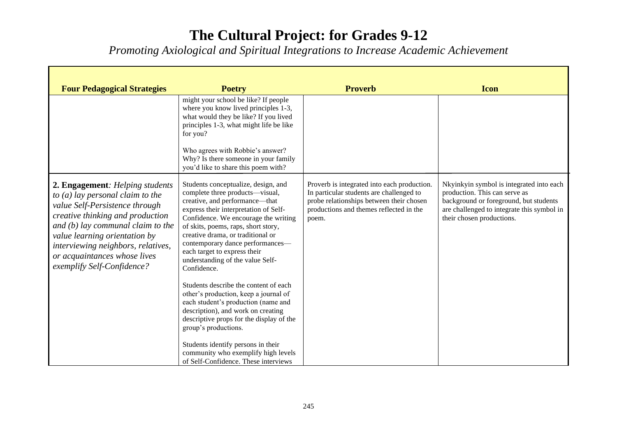*Promoting Axiological and Spiritual Integrations to Increase Academic Achievement*

÷.

Г

| <b>Four Pedagogical Strategies</b>                                                                                                                                                                                                                                                                                      | <b>Poetry</b>                                                                                                                                                                                                                                                                                                                                                                                                                                                                  | <b>Proverb</b>                                                                                                                                                                          | <b>Icon</b>                                                                                                                                                                                    |
|-------------------------------------------------------------------------------------------------------------------------------------------------------------------------------------------------------------------------------------------------------------------------------------------------------------------------|--------------------------------------------------------------------------------------------------------------------------------------------------------------------------------------------------------------------------------------------------------------------------------------------------------------------------------------------------------------------------------------------------------------------------------------------------------------------------------|-----------------------------------------------------------------------------------------------------------------------------------------------------------------------------------------|------------------------------------------------------------------------------------------------------------------------------------------------------------------------------------------------|
|                                                                                                                                                                                                                                                                                                                         | might your school be like? If people<br>where you know lived principles 1-3,<br>what would they be like? If you lived<br>principles 1-3, what might life be like<br>for you?                                                                                                                                                                                                                                                                                                   |                                                                                                                                                                                         |                                                                                                                                                                                                |
|                                                                                                                                                                                                                                                                                                                         | Who agrees with Robbie's answer?<br>Why? Is there someone in your family<br>you'd like to share this poem with?                                                                                                                                                                                                                                                                                                                                                                |                                                                                                                                                                                         |                                                                                                                                                                                                |
| 2. Engagement: Helping students<br>to $(a)$ lay personal claim to the<br>value Self-Persistence through<br>creative thinking and production<br>and $(b)$ lay communal claim to the<br>value learning orientation by<br>interviewing neighbors, relatives,<br>or acquaintances whose lives<br>exemplify Self-Confidence? | Students conceptualize, design, and<br>complete three products—visual,<br>creative, and performance—that<br>express their interpretation of Self-<br>Confidence. We encourage the writing<br>of skits, poems, raps, short story,<br>creative drama, or traditional or<br>contemporary dance performances-<br>each target to express their<br>understanding of the value Self-<br>Confidence.<br>Students describe the content of each<br>other's production, keep a journal of | Proverb is integrated into each production.<br>In particular students are challenged to<br>probe relationships between their chosen<br>productions and themes reflected in the<br>poem. | Nkyinkyin symbol is integrated into each<br>production. This can serve as<br>background or foreground, but students<br>are challenged to integrate this symbol in<br>their chosen productions. |
|                                                                                                                                                                                                                                                                                                                         | each student's production (name and<br>description), and work on creating<br>descriptive props for the display of the<br>group's productions.<br>Students identify persons in their<br>community who exemplify high levels<br>of Self-Confidence. These interviews                                                                                                                                                                                                             |                                                                                                                                                                                         |                                                                                                                                                                                                |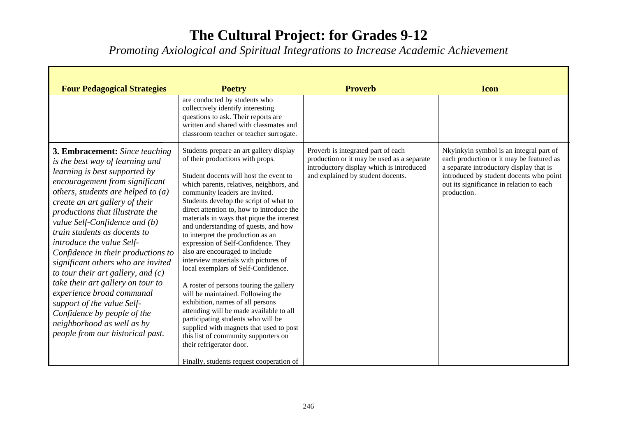*Promoting Axiological and Spiritual Integrations to Increase Academic Achievement*

Г

| <b>Four Pedagogical Strategies</b>                                                                                                                                                                                                                                                                                                                                                                                                                                                                                                                                                                                                                                          | <b>Poetry</b>                                                                                                                                                                                                                                                                                                                                                                                                                                                                                                                                                                                                                                                                                                                                                                                                                                                                                                                                | <b>Proverb</b>                                                                                                                                                    | <b>Icon</b>                                                                                                                                                                                                                          |
|-----------------------------------------------------------------------------------------------------------------------------------------------------------------------------------------------------------------------------------------------------------------------------------------------------------------------------------------------------------------------------------------------------------------------------------------------------------------------------------------------------------------------------------------------------------------------------------------------------------------------------------------------------------------------------|----------------------------------------------------------------------------------------------------------------------------------------------------------------------------------------------------------------------------------------------------------------------------------------------------------------------------------------------------------------------------------------------------------------------------------------------------------------------------------------------------------------------------------------------------------------------------------------------------------------------------------------------------------------------------------------------------------------------------------------------------------------------------------------------------------------------------------------------------------------------------------------------------------------------------------------------|-------------------------------------------------------------------------------------------------------------------------------------------------------------------|--------------------------------------------------------------------------------------------------------------------------------------------------------------------------------------------------------------------------------------|
|                                                                                                                                                                                                                                                                                                                                                                                                                                                                                                                                                                                                                                                                             | are conducted by students who<br>collectively identify interesting<br>questions to ask. Their reports are<br>written and shared with classmates and<br>classroom teacher or teacher surrogate.                                                                                                                                                                                                                                                                                                                                                                                                                                                                                                                                                                                                                                                                                                                                               |                                                                                                                                                                   |                                                                                                                                                                                                                                      |
| <b>3. Embracement:</b> Since teaching<br>is the best way of learning and<br>learning is best supported by<br>encouragement from significant<br>others, students are helped to $(a)$<br>create an art gallery of their<br>productions that illustrate the<br>value Self-Confidence and (b)<br>train students as docents to<br>introduce the value Self-<br>Confidence in their productions to<br>significant others who are invited<br>to tour their art gallery, and $(c)$<br>take their art gallery on tour to<br>experience broad communal<br>support of the value Self-<br>Confidence by people of the<br>neighborhood as well as by<br>people from our historical past. | Students prepare an art gallery display<br>of their productions with props.<br>Student docents will host the event to<br>which parents, relatives, neighbors, and<br>community leaders are invited.<br>Students develop the script of what to<br>direct attention to, how to introduce the<br>materials in ways that pique the interest<br>and understanding of guests, and how<br>to interpret the production as an<br>expression of Self-Confidence. They<br>also are encouraged to include<br>interview materials with pictures of<br>local exemplars of Self-Confidence.<br>A roster of persons touring the gallery<br>will be maintained. Following the<br>exhibition, names of all persons<br>attending will be made available to all<br>participating students who will be<br>supplied with magnets that used to post<br>this list of community supporters on<br>their refrigerator door.<br>Finally, students request cooperation of | Proverb is integrated part of each<br>production or it may be used as a separate<br>introductory display which is introduced<br>and explained by student docents. | Nkyinkyin symbol is an integral part of<br>each production or it may be featured as<br>a separate introductory display that is<br>introduced by student docents who point<br>out its significance in relation to each<br>production. |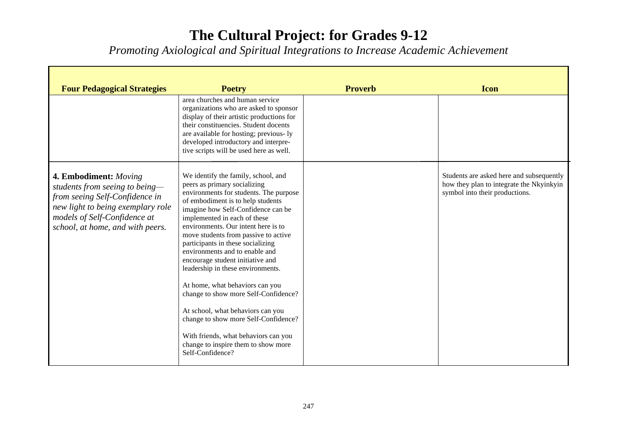*Promoting Axiological and Spiritual Integrations to Increase Academic Achievement*

÷.

Г

| <b>Four Pedagogical Strategies</b>                                                                                                                                                                 | <b>Poetry</b>                                                                                                                                                                                                                                                                                                                                                                                                                                                                                                                                                                                                                                                                                                      | <b>Proverb</b> | <b>Icon</b>                                                                                                            |
|----------------------------------------------------------------------------------------------------------------------------------------------------------------------------------------------------|--------------------------------------------------------------------------------------------------------------------------------------------------------------------------------------------------------------------------------------------------------------------------------------------------------------------------------------------------------------------------------------------------------------------------------------------------------------------------------------------------------------------------------------------------------------------------------------------------------------------------------------------------------------------------------------------------------------------|----------------|------------------------------------------------------------------------------------------------------------------------|
|                                                                                                                                                                                                    | area churches and human service<br>organizations who are asked to sponsor<br>display of their artistic productions for<br>their constituencies. Student docents<br>are available for hosting; previous-ly<br>developed introductory and interpre-<br>tive scripts will be used here as well.                                                                                                                                                                                                                                                                                                                                                                                                                       |                |                                                                                                                        |
| 4. Embodiment: Moving<br>students from seeing to being-<br>from seeing Self-Confidence in<br>new light to being exemplary role<br>models of Self-Confidence at<br>school, at home, and with peers. | We identify the family, school, and<br>peers as primary socializing<br>environments for students. The purpose<br>of embodiment is to help students<br>imagine how Self-Confidence can be<br>implemented in each of these<br>environments. Our intent here is to<br>move students from passive to active<br>participants in these socializing<br>environments and to enable and<br>encourage student initiative and<br>leadership in these environments.<br>At home, what behaviors can you<br>change to show more Self-Confidence?<br>At school, what behaviors can you<br>change to show more Self-Confidence?<br>With friends, what behaviors can you<br>change to inspire them to show more<br>Self-Confidence? |                | Students are asked here and subsequently<br>how they plan to integrate the Nkyinkyin<br>symbol into their productions. |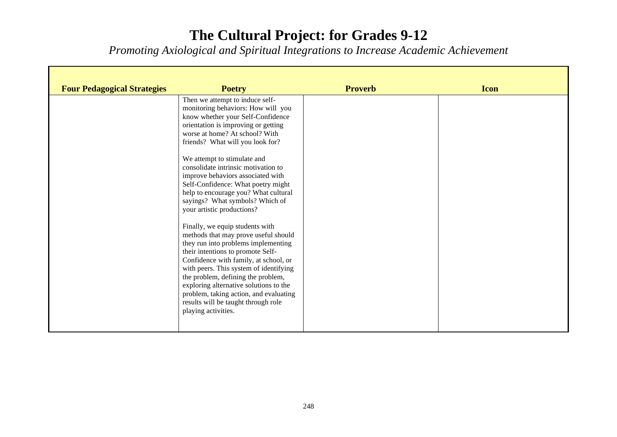*Promoting Axiological and Spiritual Integrations to Increase Academic Achievement*

| <b>Four Pedagogical Strategies</b> | <b>Poetry</b>                                                                                                                                                                                                                                                                                                                                                                                                                  | <b>Proverb</b> | <b>Icon</b> |
|------------------------------------|--------------------------------------------------------------------------------------------------------------------------------------------------------------------------------------------------------------------------------------------------------------------------------------------------------------------------------------------------------------------------------------------------------------------------------|----------------|-------------|
|                                    | Then we attempt to induce self-<br>monitoring behaviors: How will you<br>know whether your Self-Confidence<br>orientation is improving or getting<br>worse at home? At school? With<br>friends? What will you look for?                                                                                                                                                                                                        |                |             |
|                                    | We attempt to stimulate and<br>consolidate intrinsic motivation to<br>improve behaviors associated with<br>Self-Confidence: What poetry might<br>help to encourage you? What cultural<br>sayings? What symbols? Which of<br>your artistic productions?                                                                                                                                                                         |                |             |
|                                    | Finally, we equip students with<br>methods that may prove useful should<br>they run into problems implementing<br>their intentions to promote Self-<br>Confidence with family, at school, or<br>with peers. This system of identifying<br>the problem, defining the problem,<br>exploring alternative solutions to the<br>problem, taking action, and evaluating<br>results will be taught through role<br>playing activities. |                |             |